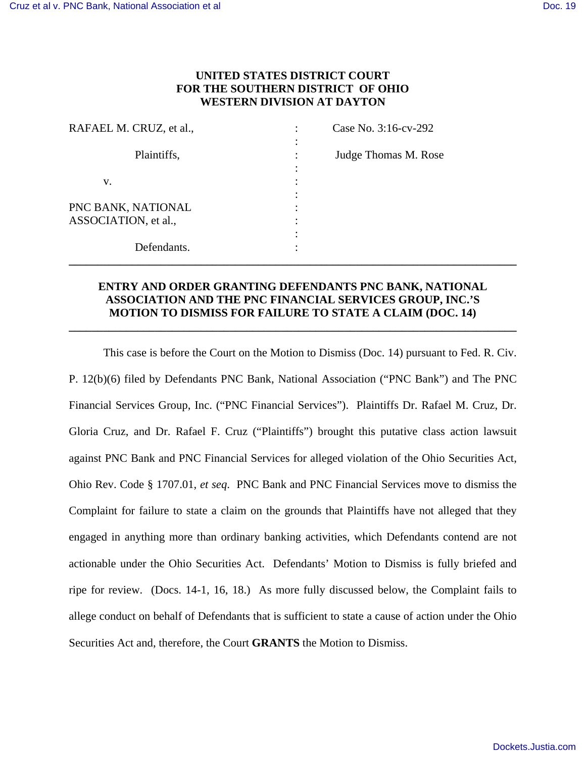# **UNITED STATES DISTRICT COURT FOR THE SOUTHERN DISTRICT OF OHIO WESTERN DIVISION AT DAYTON**

| RAFAEL M. CRUZ, et al.,                    | Case No. 3:16-cv-292 |
|--------------------------------------------|----------------------|
| Plaintiffs,                                | Judge Thomas M. Rose |
| V.                                         |                      |
| PNC BANK, NATIONAL<br>ASSOCIATION, et al., |                      |
| Defendants.                                |                      |

# **ENTRY AND ORDER GRANTING DEFENDANTS PNC BANK, NATIONAL ASSOCIATION AND THE PNC FINANCIAL SERVICES GROUP, INC.'S MOTION TO DISMISS FOR FAILURE TO STATE A CLAIM (DOC. 14)**

**\_\_\_\_\_\_\_\_\_\_\_\_\_\_\_\_\_\_\_\_\_\_\_\_\_\_\_\_\_\_\_\_\_\_\_\_\_\_\_\_\_\_\_\_\_\_\_\_\_\_\_\_\_\_\_\_\_\_\_\_\_\_\_\_\_\_\_\_\_\_\_\_\_\_\_\_\_\_** 

This case is before the Court on the Motion to Dismiss (Doc. 14) pursuant to Fed. R. Civ. P. 12(b)(6) filed by Defendants PNC Bank, National Association ("PNC Bank") and The PNC Financial Services Group, Inc. ("PNC Financial Services"). Plaintiffs Dr. Rafael M. Cruz, Dr. Gloria Cruz, and Dr. Rafael F. Cruz ("Plaintiffs") brought this putative class action lawsuit against PNC Bank and PNC Financial Services for alleged violation of the Ohio Securities Act, Ohio Rev. Code § 1707.01, *et seq*. PNC Bank and PNC Financial Services move to dismiss the Complaint for failure to state a claim on the grounds that Plaintiffs have not alleged that they engaged in anything more than ordinary banking activities, which Defendants contend are not actionable under the Ohio Securities Act. Defendants' Motion to Dismiss is fully briefed and ripe for review. (Docs. 14-1, 16, 18.) As more fully discussed below, the Complaint fails to allege conduct on behalf of Defendants that is sufficient to state a cause of action under the Ohio Securities Act and, therefore, the Court **GRANTS** the Motion to Dismiss.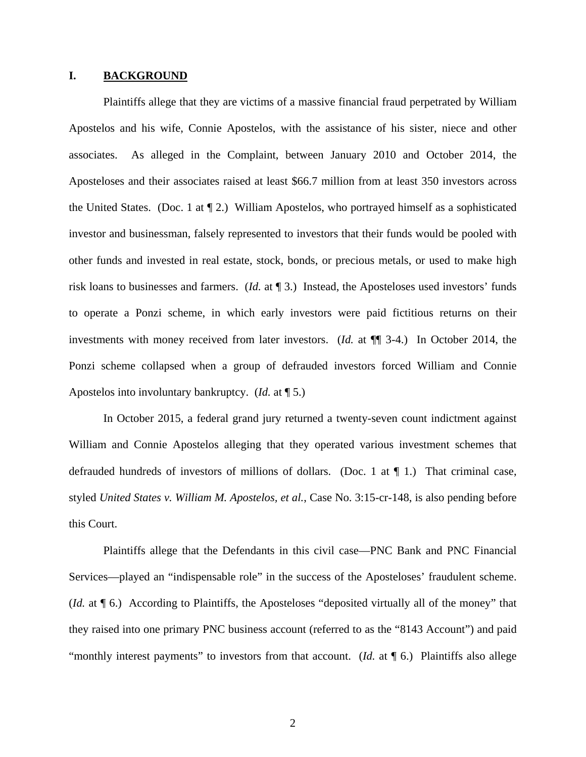#### **I. BACKGROUND**

Plaintiffs allege that they are victims of a massive financial fraud perpetrated by William Apostelos and his wife, Connie Apostelos, with the assistance of his sister, niece and other associates. As alleged in the Complaint, between January 2010 and October 2014, the Aposteloses and their associates raised at least \$66.7 million from at least 350 investors across the United States. (Doc. 1 at ¶ 2.) William Apostelos, who portrayed himself as a sophisticated investor and businessman, falsely represented to investors that their funds would be pooled with other funds and invested in real estate, stock, bonds, or precious metals, or used to make high risk loans to businesses and farmers. (*Id.* at ¶ 3.) Instead, the Aposteloses used investors' funds to operate a Ponzi scheme, in which early investors were paid fictitious returns on their investments with money received from later investors. (*Id.* at ¶¶ 3-4.) In October 2014, the Ponzi scheme collapsed when a group of defrauded investors forced William and Connie Apostelos into involuntary bankruptcy. (*Id.* at ¶ 5.)

In October 2015, a federal grand jury returned a twenty-seven count indictment against William and Connie Apostelos alleging that they operated various investment schemes that defrauded hundreds of investors of millions of dollars. (Doc. 1 at  $\P$  1.) That criminal case, styled *United States v. William M. Apostelos, et al.*, Case No. 3:15-cr-148, is also pending before this Court.

Plaintiffs allege that the Defendants in this civil case—PNC Bank and PNC Financial Services—played an "indispensable role" in the success of the Aposteloses' fraudulent scheme. (*Id.* at ¶ 6.) According to Plaintiffs, the Aposteloses "deposited virtually all of the money" that they raised into one primary PNC business account (referred to as the "8143 Account") and paid "monthly interest payments" to investors from that account. (*Id.* at  $\P$  6.) Plaintiffs also allege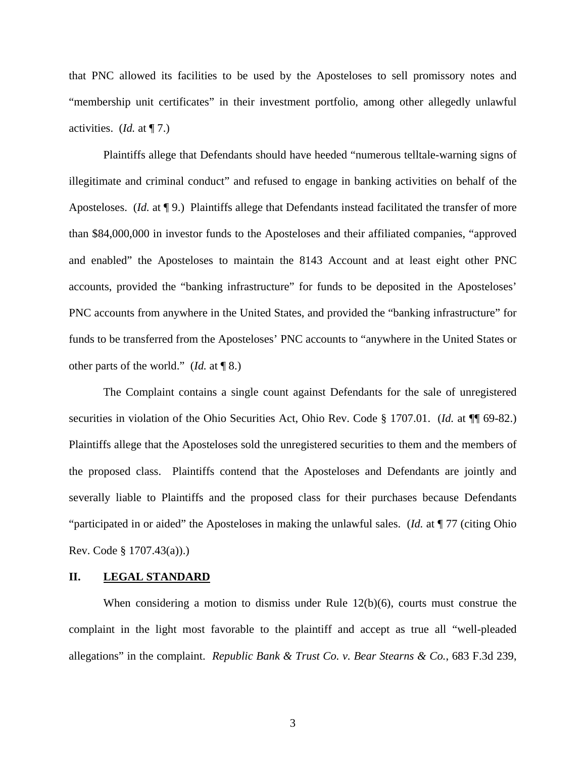that PNC allowed its facilities to be used by the Aposteloses to sell promissory notes and "membership unit certificates" in their investment portfolio, among other allegedly unlawful activities. (*Id.* at ¶ 7.)

Plaintiffs allege that Defendants should have heeded "numerous telltale-warning signs of illegitimate and criminal conduct" and refused to engage in banking activities on behalf of the Aposteloses. (*Id.* at ¶ 9.) Plaintiffs allege that Defendants instead facilitated the transfer of more than \$84,000,000 in investor funds to the Aposteloses and their affiliated companies, "approved and enabled" the Aposteloses to maintain the 8143 Account and at least eight other PNC accounts, provided the "banking infrastructure" for funds to be deposited in the Aposteloses' PNC accounts from anywhere in the United States, and provided the "banking infrastructure" for funds to be transferred from the Aposteloses' PNC accounts to "anywhere in the United States or other parts of the world." (*Id.* at ¶ 8.)

The Complaint contains a single count against Defendants for the sale of unregistered securities in violation of the Ohio Securities Act, Ohio Rev. Code § 1707.01. (*Id.* at ¶¶ 69-82.) Plaintiffs allege that the Aposteloses sold the unregistered securities to them and the members of the proposed class. Plaintiffs contend that the Aposteloses and Defendants are jointly and severally liable to Plaintiffs and the proposed class for their purchases because Defendants "participated in or aided" the Aposteloses in making the unlawful sales. (*Id.* at ¶ 77 (citing Ohio Rev. Code § 1707.43(a)).)

#### **II. LEGAL STANDARD**

When considering a motion to dismiss under Rule 12(b)(6), courts must construe the complaint in the light most favorable to the plaintiff and accept as true all "well-pleaded allegations" in the complaint. *Republic Bank & Trust Co. v. Bear Stearns & Co.*, 683 F.3d 239,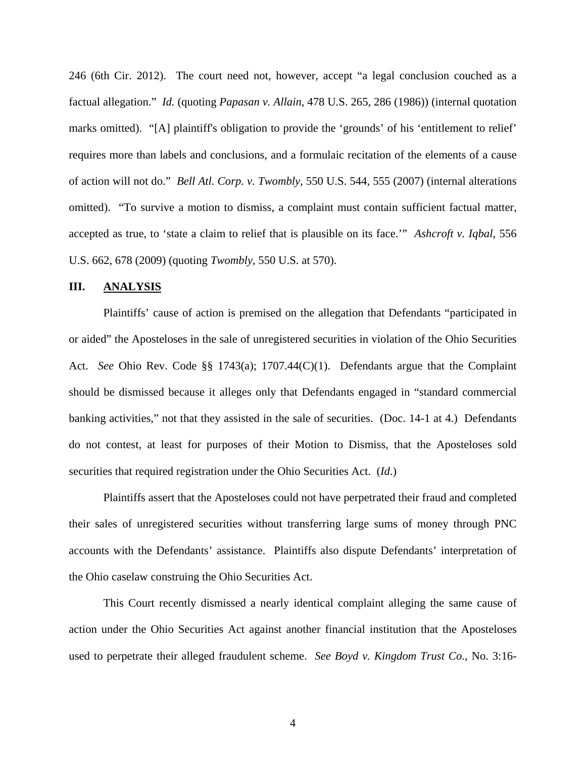246 (6th Cir. 2012). The court need not, however, accept "a legal conclusion couched as a factual allegation." *Id.* (quoting *Papasan v. Allain*, 478 U.S. 265, 286 (1986)) (internal quotation marks omitted). "[A] plaintiff's obligation to provide the 'grounds' of his 'entitlement to relief' requires more than labels and conclusions, and a formulaic recitation of the elements of a cause of action will not do." *Bell Atl. Corp. v. Twombly*, 550 U.S. 544, 555 (2007) (internal alterations omitted). "To survive a motion to dismiss, a complaint must contain sufficient factual matter, accepted as true, to 'state a claim to relief that is plausible on its face.'" *Ashcroft v. Iqbal*, 556 U.S. 662, 678 (2009) (quoting *Twombly*, 550 U.S. at 570).

### **III. ANALYSIS**

Plaintiffs' cause of action is premised on the allegation that Defendants "participated in or aided" the Aposteloses in the sale of unregistered securities in violation of the Ohio Securities Act. *See* Ohio Rev. Code §§ 1743(a); 1707.44(C)(1). Defendants argue that the Complaint should be dismissed because it alleges only that Defendants engaged in "standard commercial banking activities," not that they assisted in the sale of securities. (Doc. 14-1 at 4.) Defendants do not contest, at least for purposes of their Motion to Dismiss, that the Aposteloses sold securities that required registration under the Ohio Securities Act. (*Id*.)

Plaintiffs assert that the Aposteloses could not have perpetrated their fraud and completed their sales of unregistered securities without transferring large sums of money through PNC accounts with the Defendants' assistance. Plaintiffs also dispute Defendants' interpretation of the Ohio caselaw construing the Ohio Securities Act.

This Court recently dismissed a nearly identical complaint alleging the same cause of action under the Ohio Securities Act against another financial institution that the Aposteloses used to perpetrate their alleged fraudulent scheme. *See Boyd v. Kingdom Trust Co.*, No. 3:16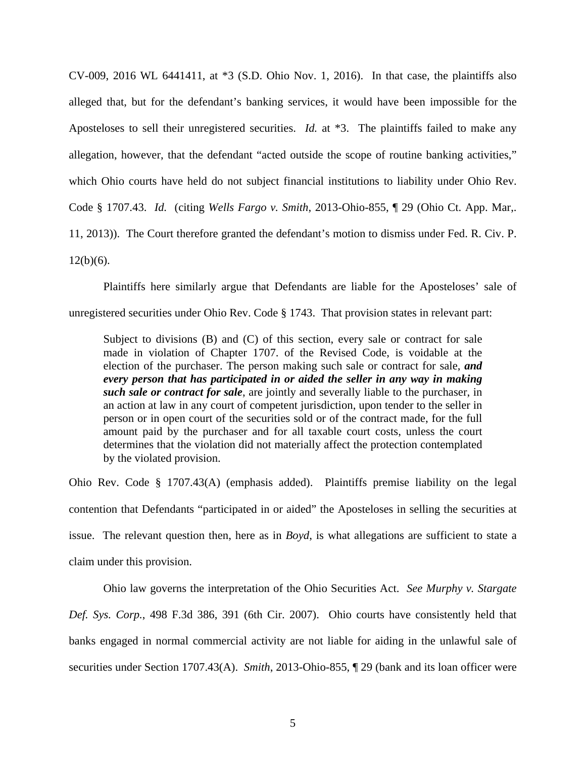CV-009, 2016 WL 6441411, at \*3 (S.D. Ohio Nov. 1, 2016). In that case, the plaintiffs also alleged that, but for the defendant's banking services, it would have been impossible for the Aposteloses to sell their unregistered securities. *Id.* at \*3. The plaintiffs failed to make any allegation, however, that the defendant "acted outside the scope of routine banking activities," which Ohio courts have held do not subject financial institutions to liability under Ohio Rev. Code § 1707.43. *Id.* (citing *Wells Fargo v. Smith*, 2013-Ohio-855, ¶ 29 (Ohio Ct. App. Mar,. 11, 2013)). The Court therefore granted the defendant's motion to dismiss under Fed. R. Civ. P.  $12(b)(6)$ .

Plaintiffs here similarly argue that Defendants are liable for the Aposteloses' sale of unregistered securities under Ohio Rev. Code § 1743. That provision states in relevant part:

Subject to divisions (B) and (C) of this section, every sale or contract for sale made in violation of Chapter 1707. of the Revised Code, is voidable at the election of the purchaser. The person making such sale or contract for sale, *and every person that has participated in or aided the seller in any way in making such sale or contract for sale*, are jointly and severally liable to the purchaser, in an action at law in any court of competent jurisdiction, upon tender to the seller in person or in open court of the securities sold or of the contract made, for the full amount paid by the purchaser and for all taxable court costs, unless the court determines that the violation did not materially affect the protection contemplated by the violated provision.

Ohio Rev. Code § 1707.43(A) (emphasis added). Plaintiffs premise liability on the legal contention that Defendants "participated in or aided" the Aposteloses in selling the securities at issue. The relevant question then, here as in *Boyd*, is what allegations are sufficient to state a claim under this provision.

Ohio law governs the interpretation of the Ohio Securities Act. *See Murphy v. Stargate Def. Sys. Corp.*, 498 F.3d 386, 391 (6th Cir. 2007). Ohio courts have consistently held that banks engaged in normal commercial activity are not liable for aiding in the unlawful sale of securities under Section 1707.43(A). *Smith*, 2013-Ohio-855, ¶ 29 (bank and its loan officer were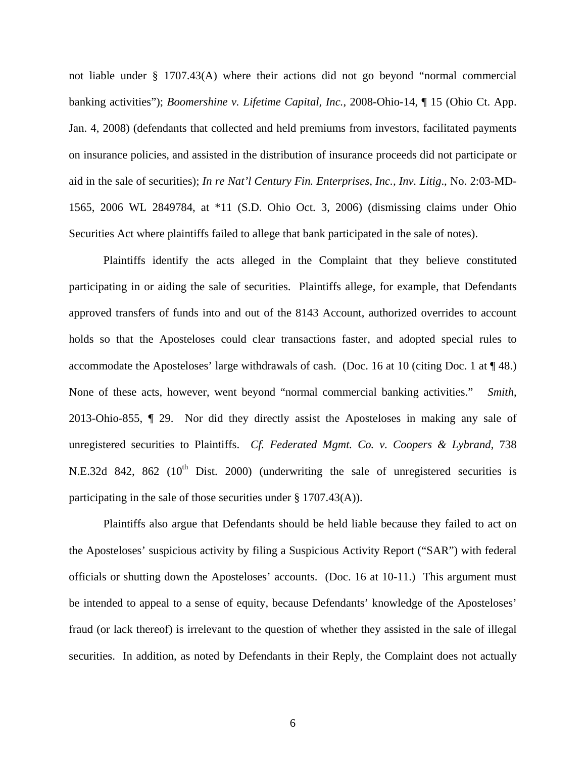not liable under § 1707.43(A) where their actions did not go beyond "normal commercial banking activities"); *Boomershine v. Lifetime Capital, Inc.*, 2008-Ohio-14, ¶ 15 (Ohio Ct. App. Jan. 4, 2008) (defendants that collected and held premiums from investors, facilitated payments on insurance policies, and assisted in the distribution of insurance proceeds did not participate or aid in the sale of securities); *In re Nat'l Century Fin. Enterprises, Inc., Inv. Litig*., No. 2:03-MD-1565, 2006 WL 2849784, at \*11 (S.D. Ohio Oct. 3, 2006) (dismissing claims under Ohio Securities Act where plaintiffs failed to allege that bank participated in the sale of notes).

Plaintiffs identify the acts alleged in the Complaint that they believe constituted participating in or aiding the sale of securities. Plaintiffs allege, for example, that Defendants approved transfers of funds into and out of the 8143 Account, authorized overrides to account holds so that the Aposteloses could clear transactions faster, and adopted special rules to accommodate the Aposteloses' large withdrawals of cash. (Doc. 16 at 10 (citing Doc. 1 at  $\P$  48.) None of these acts, however, went beyond "normal commercial banking activities." *Smith*, 2013-Ohio-855, ¶ 29. Nor did they directly assist the Aposteloses in making any sale of unregistered securities to Plaintiffs. *Cf. Federated Mgmt. Co. v. Coopers & Lybrand*, 738 N.E.32d 842, 862 ( $10^{th}$  Dist. 2000) (underwriting the sale of unregistered securities is participating in the sale of those securities under § 1707.43(A)).

Plaintiffs also argue that Defendants should be held liable because they failed to act on the Aposteloses' suspicious activity by filing a Suspicious Activity Report ("SAR") with federal officials or shutting down the Aposteloses' accounts. (Doc. 16 at 10-11.) This argument must be intended to appeal to a sense of equity, because Defendants' knowledge of the Aposteloses' fraud (or lack thereof) is irrelevant to the question of whether they assisted in the sale of illegal securities. In addition, as noted by Defendants in their Reply, the Complaint does not actually